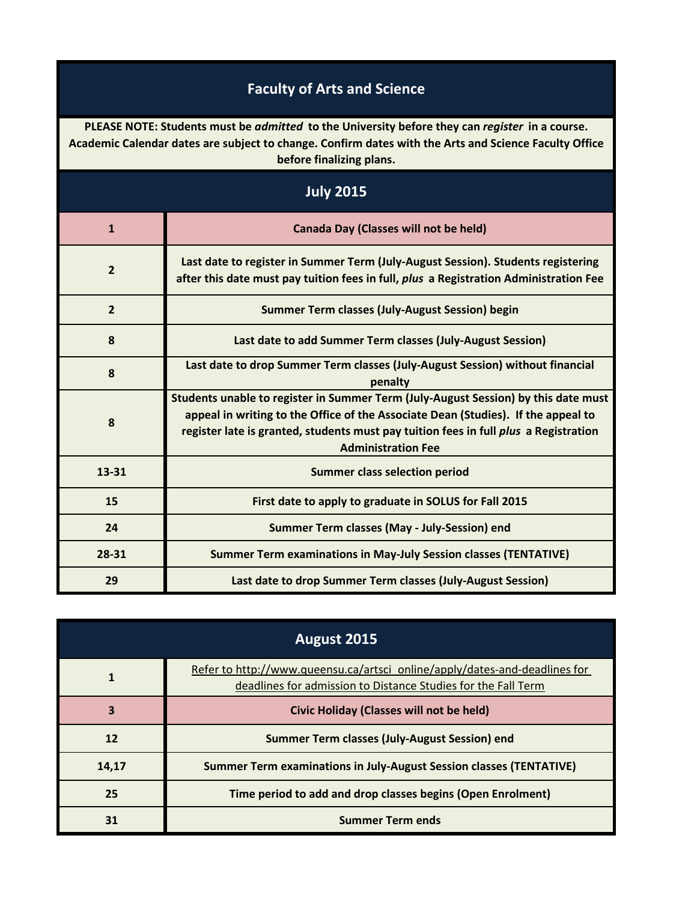## **Faculty of Arts and Science**

**PLEASE NOTE: Students must be** *admitted* **to the University before they can** *register* **in a course. Academic Calendar dates are subject to change. Confirm dates with the Arts and Science Faculty Office before finalizing plans.**

| <b>July 2015</b> |                                                                                                                                                                                                                                                                                              |
|------------------|----------------------------------------------------------------------------------------------------------------------------------------------------------------------------------------------------------------------------------------------------------------------------------------------|
| $\mathbf{1}$     | Canada Day (Classes will not be held)                                                                                                                                                                                                                                                        |
| $\overline{2}$   | Last date to register in Summer Term (July-August Session). Students registering<br>after this date must pay tuition fees in full, plus a Registration Administration Fee                                                                                                                    |
| $\overline{2}$   | Summer Term classes (July-August Session) begin                                                                                                                                                                                                                                              |
| 8                | Last date to add Summer Term classes (July-August Session)                                                                                                                                                                                                                                   |
| 8                | Last date to drop Summer Term classes (July-August Session) without financial<br>penalty                                                                                                                                                                                                     |
| 8                | Students unable to register in Summer Term (July-August Session) by this date must<br>appeal in writing to the Office of the Associate Dean (Studies). If the appeal to<br>register late is granted, students must pay tuition fees in full plus a Registration<br><b>Administration Fee</b> |
| 13-31            | <b>Summer class selection period</b>                                                                                                                                                                                                                                                         |
| 15               | First date to apply to graduate in SOLUS for Fall 2015                                                                                                                                                                                                                                       |
| 24               | Summer Term classes (May - July-Session) end                                                                                                                                                                                                                                                 |
| 28-31            | <b>Summer Term examinations in May-July Session classes (TENTATIVE)</b>                                                                                                                                                                                                                      |
| 29               | Last date to drop Summer Term classes (July-August Session)                                                                                                                                                                                                                                  |

| August 2015 |                                                                                                                                             |
|-------------|---------------------------------------------------------------------------------------------------------------------------------------------|
| 1           | Refer to http://www.queensu.ca/artsci_online/apply/dates-and-deadlines for<br>deadlines for admission to Distance Studies for the Fall Term |
| 3           | <b>Civic Holiday (Classes will not be held)</b>                                                                                             |
| 12          | Summer Term classes (July-August Session) end                                                                                               |
| 14,17       | <b>Summer Term examinations in July-August Session classes (TENTATIVE)</b>                                                                  |
| 25          | Time period to add and drop classes begins (Open Enrolment)                                                                                 |
| 31          | <b>Summer Term ends</b>                                                                                                                     |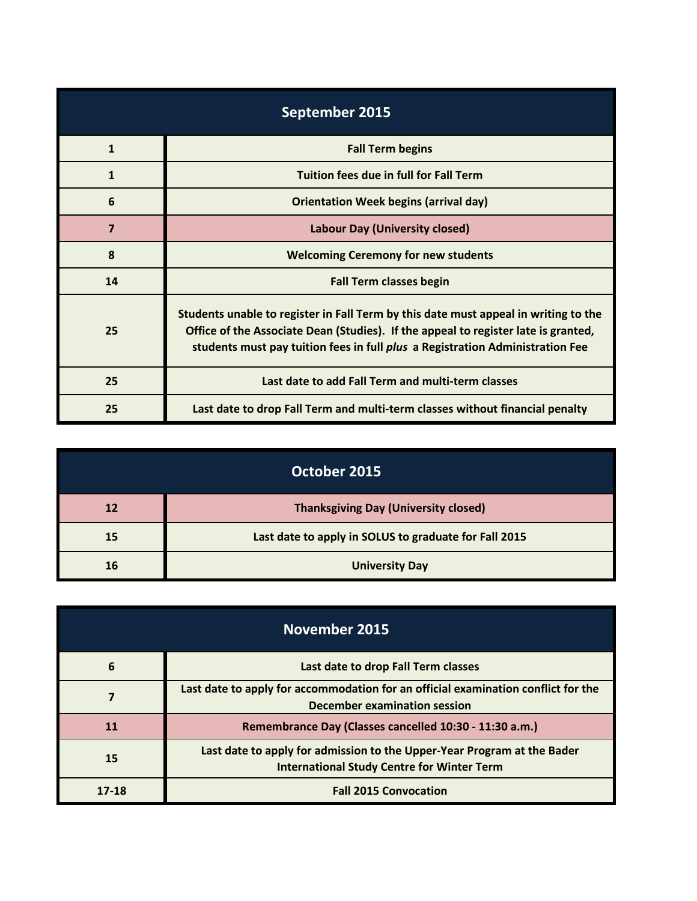| September 2015 |                                                                                                                                                                                                                                                                   |
|----------------|-------------------------------------------------------------------------------------------------------------------------------------------------------------------------------------------------------------------------------------------------------------------|
| $\mathbf{1}$   | <b>Fall Term begins</b>                                                                                                                                                                                                                                           |
| $\mathbf{1}$   | <b>Tuition fees due in full for Fall Term</b>                                                                                                                                                                                                                     |
| 6              | <b>Orientation Week begins (arrival day)</b>                                                                                                                                                                                                                      |
| $\overline{7}$ | <b>Labour Day (University closed)</b>                                                                                                                                                                                                                             |
| 8              | <b>Welcoming Ceremony for new students</b>                                                                                                                                                                                                                        |
| 14             | <b>Fall Term classes begin</b>                                                                                                                                                                                                                                    |
| 25             | Students unable to register in Fall Term by this date must appeal in writing to the<br>Office of the Associate Dean (Studies). If the appeal to register late is granted,<br>students must pay tuition fees in full <i>plus</i> a Registration Administration Fee |
| 25             | Last date to add Fall Term and multi-term classes                                                                                                                                                                                                                 |
| 25             | Last date to drop Fall Term and multi-term classes without financial penalty                                                                                                                                                                                      |

| October 2015 |                                                       |
|--------------|-------------------------------------------------------|
| 12           | <b>Thanksgiving Day (University closed)</b>           |
| 15           | Last date to apply in SOLUS to graduate for Fall 2015 |
| 16           | <b>University Day</b>                                 |

| November 2015 |                                                                                                                              |
|---------------|------------------------------------------------------------------------------------------------------------------------------|
| 6             | Last date to drop Fall Term classes                                                                                          |
|               | Last date to apply for accommodation for an official examination conflict for the<br>December examination session            |
| <b>11</b>     | Remembrance Day (Classes cancelled 10:30 - 11:30 a.m.)                                                                       |
| 15            | Last date to apply for admission to the Upper-Year Program at the Bader<br><b>International Study Centre for Winter Term</b> |
| 17-18         | <b>Fall 2015 Convocation</b>                                                                                                 |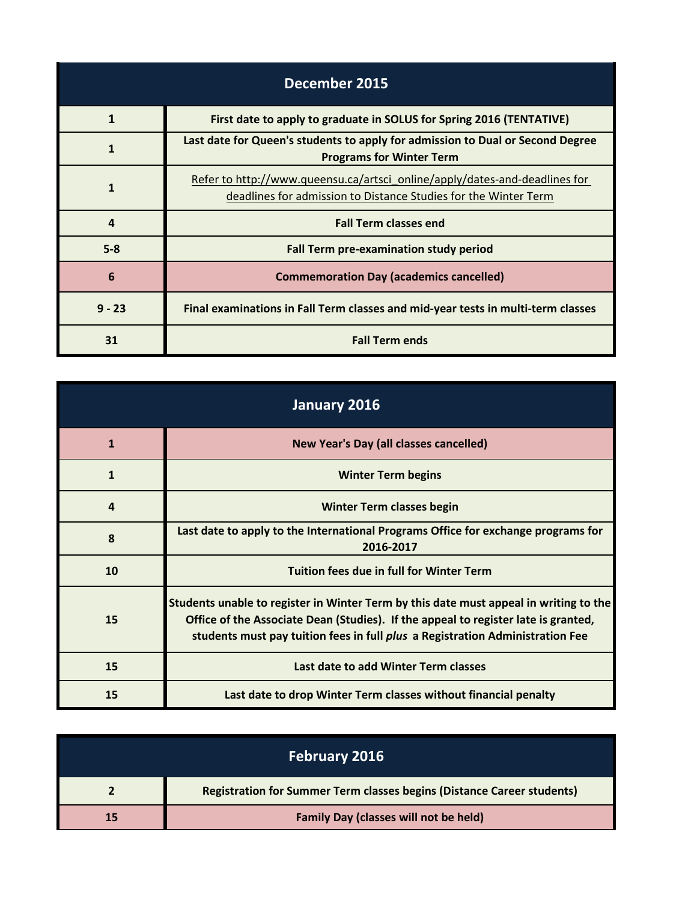| December 2015 |                                                                                                                                               |
|---------------|-----------------------------------------------------------------------------------------------------------------------------------------------|
| 1             | First date to apply to graduate in SOLUS for Spring 2016 (TENTATIVE)                                                                          |
| 1             | Last date for Queen's students to apply for admission to Dual or Second Degree<br><b>Programs for Winter Term</b>                             |
| 1             | Refer to http://www.queensu.ca/artsci_online/apply/dates-and-deadlines for<br>deadlines for admission to Distance Studies for the Winter Term |
| 4             | <b>Fall Term classes end</b>                                                                                                                  |
| $5 - 8$       | Fall Term pre-examination study period                                                                                                        |
| 6             | <b>Commemoration Day (academics cancelled)</b>                                                                                                |
| $9 - 23$      | Final examinations in Fall Term classes and mid-year tests in multi-term classes                                                              |
| 31            | <b>Fall Term ends</b>                                                                                                                         |

| January 2016   |                                                                                                                                                                                                                                                              |
|----------------|--------------------------------------------------------------------------------------------------------------------------------------------------------------------------------------------------------------------------------------------------------------|
| $\mathbf{1}$   | New Year's Day (all classes cancelled)                                                                                                                                                                                                                       |
| $\mathbf{1}$   | <b>Winter Term begins</b>                                                                                                                                                                                                                                    |
| $\overline{a}$ | <b>Winter Term classes begin</b>                                                                                                                                                                                                                             |
| 8              | Last date to apply to the International Programs Office for exchange programs for<br>2016-2017                                                                                                                                                               |
| 10             | <b>Tuition fees due in full for Winter Term</b>                                                                                                                                                                                                              |
| 15             | Students unable to register in Winter Term by this date must appeal in writing to the<br>Office of the Associate Dean (Studies). If the appeal to register late is granted,<br>students must pay tuition fees in full plus a Registration Administration Fee |
| 15             | Last date to add Winter Term classes                                                                                                                                                                                                                         |
| 15             | Last date to drop Winter Term classes without financial penalty                                                                                                                                                                                              |

| <b>February 2016</b> |                                                                               |
|----------------------|-------------------------------------------------------------------------------|
|                      | <b>Registration for Summer Term classes begins (Distance Career students)</b> |
|                      | <b>Family Day (classes will not be held)</b>                                  |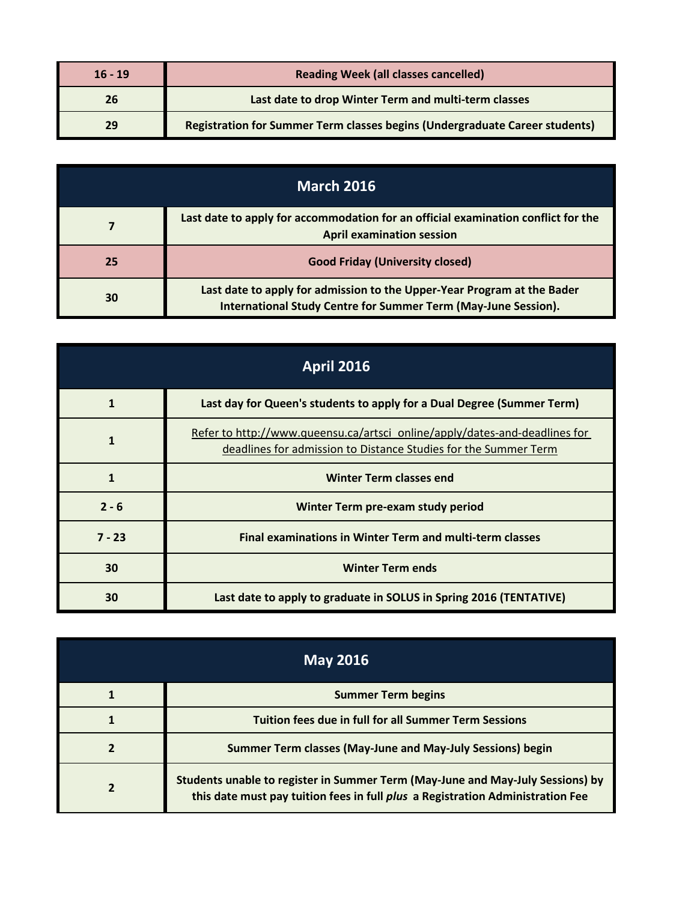| $16 - 19$ | <b>Reading Week (all classes cancelled)</b>                                 |
|-----------|-----------------------------------------------------------------------------|
| 26        | Last date to drop Winter Term and multi-term classes                        |
| 29        | Registration for Summer Term classes begins (Undergraduate Career students) |

| <b>March 2016</b> |                                                                                                                                           |
|-------------------|-------------------------------------------------------------------------------------------------------------------------------------------|
|                   | Last date to apply for accommodation for an official examination conflict for the<br><b>April examination session</b>                     |
| 25                | <b>Good Friday (University closed)</b>                                                                                                    |
| 30                | Last date to apply for admission to the Upper-Year Program at the Bader<br>International Study Centre for Summer Term (May-June Session). |

| <b>April 2016</b> |                                                                                                                                               |
|-------------------|-----------------------------------------------------------------------------------------------------------------------------------------------|
|                   | Last day for Queen's students to apply for a Dual Degree (Summer Term)                                                                        |
| 1                 | Refer to http://www.queensu.ca/artsci_online/apply/dates-and-deadlines for<br>deadlines for admission to Distance Studies for the Summer Term |
| $\mathbf{1}$      | <b>Winter Term classes end</b>                                                                                                                |
| $2 - 6$           | Winter Term pre-exam study period                                                                                                             |
| $7 - 23$          | <b>Final examinations in Winter Term and multi-term classes</b>                                                                               |
| 30                | <b>Winter Term ends</b>                                                                                                                       |
| 30                | Last date to apply to graduate in SOLUS in Spring 2016 (TENTATIVE)                                                                            |

| May 2016 |                                                                                                                                                                  |
|----------|------------------------------------------------------------------------------------------------------------------------------------------------------------------|
|          | <b>Summer Term begins</b>                                                                                                                                        |
|          | <b>Tuition fees due in full for all Summer Term Sessions</b>                                                                                                     |
|          | Summer Term classes (May-June and May-July Sessions) begin                                                                                                       |
| 2        | Students unable to register in Summer Term (May-June and May-July Sessions) by<br>this date must pay tuition fees in full plus a Registration Administration Fee |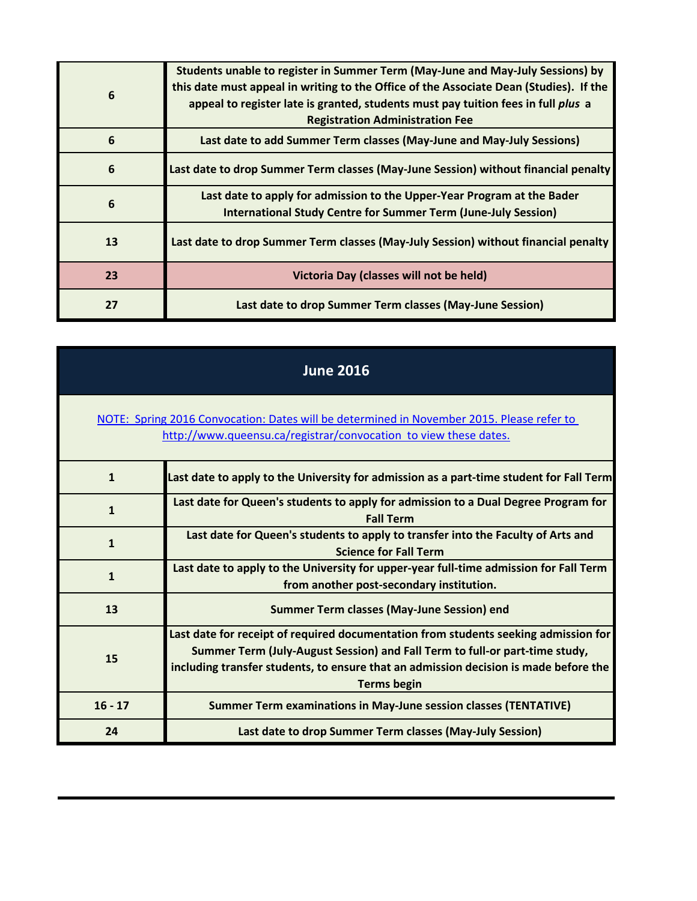| 6  | Students unable to register in Summer Term (May-June and May-July Sessions) by<br>this date must appeal in writing to the Office of the Associate Dean (Studies). If the<br>appeal to register late is granted, students must pay tuition fees in full plus a<br><b>Registration Administration Fee</b> |
|----|---------------------------------------------------------------------------------------------------------------------------------------------------------------------------------------------------------------------------------------------------------------------------------------------------------|
| 6  | Last date to add Summer Term classes (May-June and May-July Sessions)                                                                                                                                                                                                                                   |
| 6  | Last date to drop Summer Term classes (May-June Session) without financial penalty                                                                                                                                                                                                                      |
| 6  | Last date to apply for admission to the Upper-Year Program at the Bader<br><b>International Study Centre for Summer Term (June-July Session)</b>                                                                                                                                                        |
| 13 | Last date to drop Summer Term classes (May-July Session) without financial penalty                                                                                                                                                                                                                      |
| 23 | Victoria Day (classes will not be held)                                                                                                                                                                                                                                                                 |
| 27 | Last date to drop Summer Term classes (May-June Session)                                                                                                                                                                                                                                                |

| <b>June 2016</b>                                                                                                                                              |                                                                                                                                                                                                                                                                                  |  |
|---------------------------------------------------------------------------------------------------------------------------------------------------------------|----------------------------------------------------------------------------------------------------------------------------------------------------------------------------------------------------------------------------------------------------------------------------------|--|
| NOTE: Spring 2016 Convocation: Dates will be determined in November 2015. Please refer to<br>http://www.queensu.ca/registrar/convocation to view these dates. |                                                                                                                                                                                                                                                                                  |  |
| $\mathbf{1}$                                                                                                                                                  | Last date to apply to the University for admission as a part-time student for Fall Term                                                                                                                                                                                          |  |
| $\mathbf{1}$                                                                                                                                                  | Last date for Queen's students to apply for admission to a Dual Degree Program for<br><b>Fall Term</b>                                                                                                                                                                           |  |
| $\mathbf{1}$                                                                                                                                                  | Last date for Queen's students to apply to transfer into the Faculty of Arts and<br><b>Science for Fall Term</b>                                                                                                                                                                 |  |
| $\mathbf{1}$                                                                                                                                                  | Last date to apply to the University for upper-year full-time admission for Fall Term<br>from another post-secondary institution.                                                                                                                                                |  |
| 13                                                                                                                                                            | <b>Summer Term classes (May-June Session) end</b>                                                                                                                                                                                                                                |  |
| 15                                                                                                                                                            | Last date for receipt of required documentation from students seeking admission for<br>Summer Term (July-August Session) and Fall Term to full-or part-time study,<br>including transfer students, to ensure that an admission decision is made before the<br><b>Terms begin</b> |  |
| $16 - 17$                                                                                                                                                     | <b>Summer Term examinations in May-June session classes (TENTATIVE)</b>                                                                                                                                                                                                          |  |
| 24                                                                                                                                                            | Last date to drop Summer Term classes (May-July Session)                                                                                                                                                                                                                         |  |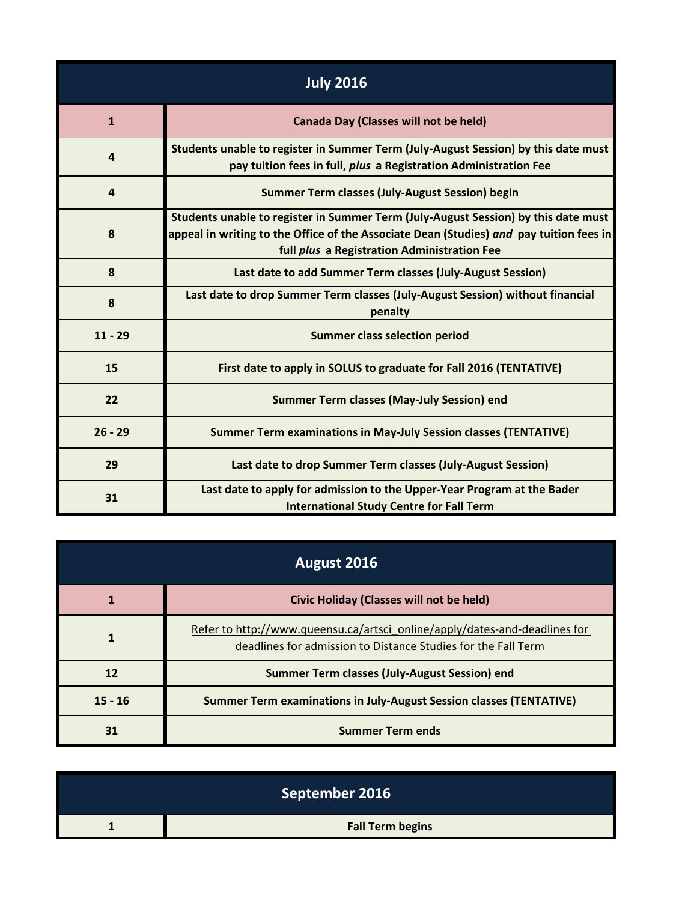| <b>July 2016</b> |                                                                                                                                                                                                                              |  |
|------------------|------------------------------------------------------------------------------------------------------------------------------------------------------------------------------------------------------------------------------|--|
| $\mathbf{1}$     | <b>Canada Day (Classes will not be held)</b>                                                                                                                                                                                 |  |
| $\overline{a}$   | Students unable to register in Summer Term (July-August Session) by this date must<br>pay tuition fees in full, plus a Registration Administration Fee                                                                       |  |
| $\overline{4}$   | <b>Summer Term classes (July-August Session) begin</b>                                                                                                                                                                       |  |
| 8                | Students unable to register in Summer Term (July-August Session) by this date must<br>appeal in writing to the Office of the Associate Dean (Studies) and pay tuition fees in<br>full plus a Registration Administration Fee |  |
| 8                | Last date to add Summer Term classes (July-August Session)                                                                                                                                                                   |  |
| 8                | Last date to drop Summer Term classes (July-August Session) without financial<br>penalty                                                                                                                                     |  |
| $11 - 29$        | <b>Summer class selection period</b>                                                                                                                                                                                         |  |
| 15               | First date to apply in SOLUS to graduate for Fall 2016 (TENTATIVE)                                                                                                                                                           |  |
| 22               | <b>Summer Term classes (May-July Session) end</b>                                                                                                                                                                            |  |
| $26 - 29$        | <b>Summer Term examinations in May-July Session classes (TENTATIVE)</b>                                                                                                                                                      |  |
| 29               | Last date to drop Summer Term classes (July-August Session)                                                                                                                                                                  |  |
| 31               | Last date to apply for admission to the Upper-Year Program at the Bader<br><b>International Study Centre for Fall Term</b>                                                                                                   |  |

| August 2016 |                                                                                                                                             |  |
|-------------|---------------------------------------------------------------------------------------------------------------------------------------------|--|
|             | Civic Holiday (Classes will not be held)                                                                                                    |  |
|             | Refer to http://www.queensu.ca/artsci_online/apply/dates-and-deadlines for<br>deadlines for admission to Distance Studies for the Fall Term |  |
| 12          | Summer Term classes (July-August Session) end                                                                                               |  |
| $15 - 16$   | <b>Summer Term examinations in July-August Session classes (TENTATIVE)</b>                                                                  |  |
| 31          | <b>Summer Term ends</b>                                                                                                                     |  |

| September 2016          |
|-------------------------|
| <b>Fall Term begins</b> |